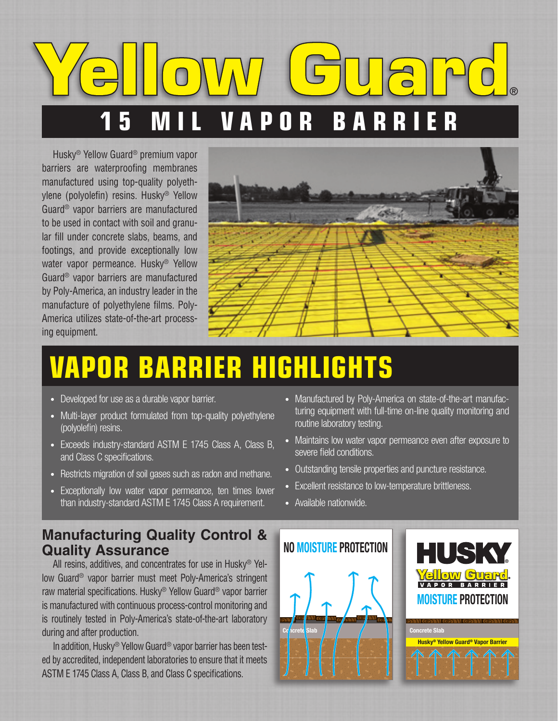# **15 MIL VAPOR BARRIER** ®

Husky® Yellow Guard® premium vapor barriers are waterproofing membranes manufactured using top-quality polyethylene (polyolefin) resins. Husky® Yellow Guard® vapor barriers are manufactured to be used in contact with soil and granular fill under concrete slabs, beams, and footings, and provide exceptionally low water vapor permeance. Husky® Yellow Guard® vapor barriers are manufactured by Poly-America, an industry leader in the manufacture of polyethylene films. Poly-America utilizes state-of-the-art processing equipment.



## **VAPOR BARRIER HIGHLIGHTS**

- Developed for use as a durable vapor barrier.
- Multi-layer product formulated from top-quality polyethylene (polyolefin) resins.
- Exceeds industry-standard ASTM E 1745 Class A, Class B, and Class C specifications.
- Restricts migration of soil gases such as radon and methane.
- Exceptionally low water vapor permeance, ten times lower than industry-standard ASTM E 1745 Class A requirement.

#### **Manufacturing Quality Control & Quality Assurance**

All resins, additives, and concentrates for use in Husky® Yellow Guard® vapor barrier must meet Poly-America's stringent raw material specifications. Husky® Yellow Guard® vapor barrier is manufactured with continuous process-control monitoring and is routinely tested in Poly-America's state-of-the-art laboratory during and after production.

In addition, Husky® Yellow Guard® vapor barrier has been tested by accredited, independent laboratories to ensure that it meets ASTM E 1745 Class A, Class B, and Class C specifications.

- Manufactured by Poly-America on state-of-the-art manufacturing equipment with full-time on-line quality monitoring and routine laboratory testing.
- Maintains low water vapor permeance even after exposure to severe field conditions.

**®**

- Outstanding tensile properties and puncture resistance.
- Excellent resistance to low-temperature brittleness.
- Available nationwide.